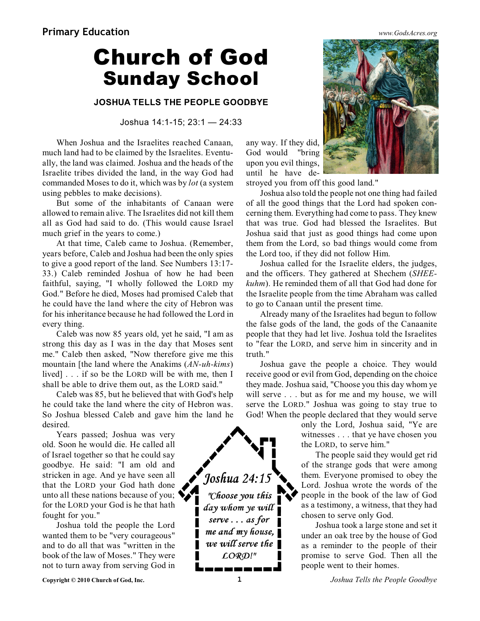## **Church of God Sunday School**

**JOSHUA TELLS THE PEOPLE GOODBYE**

Joshua 14:1-15; 23:1 — 24:33

When Joshua and the Israelites reached Canaan, much land had to be claimed by the Israelites. Eventually, the land was claimed. Joshua and the heads of the Israelite tribes divided the land, in the way God had commanded Moses to do it, which was by *lot* (a system using pebbles to make decisions).

But some of the inhabitants of Canaan were allowed to remain alive. The Israelites did not kill them all as God had said to do. (This would cause Israel much grief in the years to come.)

At that time, Caleb came to Joshua. (Remember, years before, Caleb and Joshua had been the only spies to give a good report of the land. See Numbers 13:17- 33.) Caleb reminded Joshua of how he had been faithful, saying, "I wholly followed the LORD my God." Before he died, Moses had promised Caleb that he could have the land where the city of Hebron was for his inheritance because he had followed the Lord in every thing.

Caleb was now 85 years old, yet he said, "I am as strong this day as I was in the day that Moses sent me." Caleb then asked, "Now therefore give me this mountain [the land where the Anakims (*AN-uh-kims*) lived] . . . if so be the LORD will be with me, then I shall be able to drive them out, as the LORD said."

Caleb was 85, but he believed that with God's help he could take the land where the city of Hebron was. So Joshua blessed Caleb and gave him the land he desired.

Years passed; Joshua was very old. Soon he would die. He called all of Israel together so that he could say goodbye. He said: "I am old and stricken in age. And ye have seen all that the LORD your God hath done unto all these nations because of you; for the LORD your God is he that hath fought for you."

Joshua told the people the Lord wanted them to be "very courageous" and to do all that was "written in the book of the law of Moses." They were not to turn away from serving God in

Joshua 24:15 "Choose you this day whom ye will serve  $\ldots$  as for  $\blacksquare$ П me and my house,  $\overline{\phantom{a}}$ we will serve the  $\blacksquare$  $LORD!$ "



any way. If they did, God would "bring upon you evil things, until he have de-

stroyed you from off this good land."

Joshua also told the people not one thing had failed of all the good things that the Lord had spoken concerning them. Everything had come to pass. They knew that was true. God had blessed the Israelites. But Joshua said that just as good things had come upon them from the Lord, so bad things would come from the Lord too, if they did not follow Him.

Joshua called for the Israelite elders, the judges, and the officers. They gathered at Shechem (*SHEEkuhm*). He reminded them of all that God had done for the Israelite people from the time Abraham was called to go to Canaan until the present time.

Already many of the Israelites had begun to follow the false gods of the land, the gods of the Canaanite people that they had let live. Joshua told the Israelites to "fear the LORD, and serve him in sincerity and in truth."

Joshua gave the people a choice. They would receive good or evil from God, depending on the choice they made. Joshua said, "Choose you this day whom ye will serve . . . but as for me and my house, we will serve the LORD." Joshua was going to stay true to God! When the people declared that they would serve

> only the Lord, Joshua said, "Ye are witnesses . . . that ye have chosen you the LORD, to serve him."

> The people said they would get rid of the strange gods that were among them. Everyone promised to obey the Lord. Joshua wrote the words of the people in the book of the law of God as a testimony, a witness, that they had chosen to serve only God.

> Joshua took a large stone and set it under an oak tree by the house of God as a reminder to the people of their promise to serve God. Then all the people went to their homes.

**Copyright © 2010 Church of God, Inc. 1** *Joshua Tells the People Goodbye*